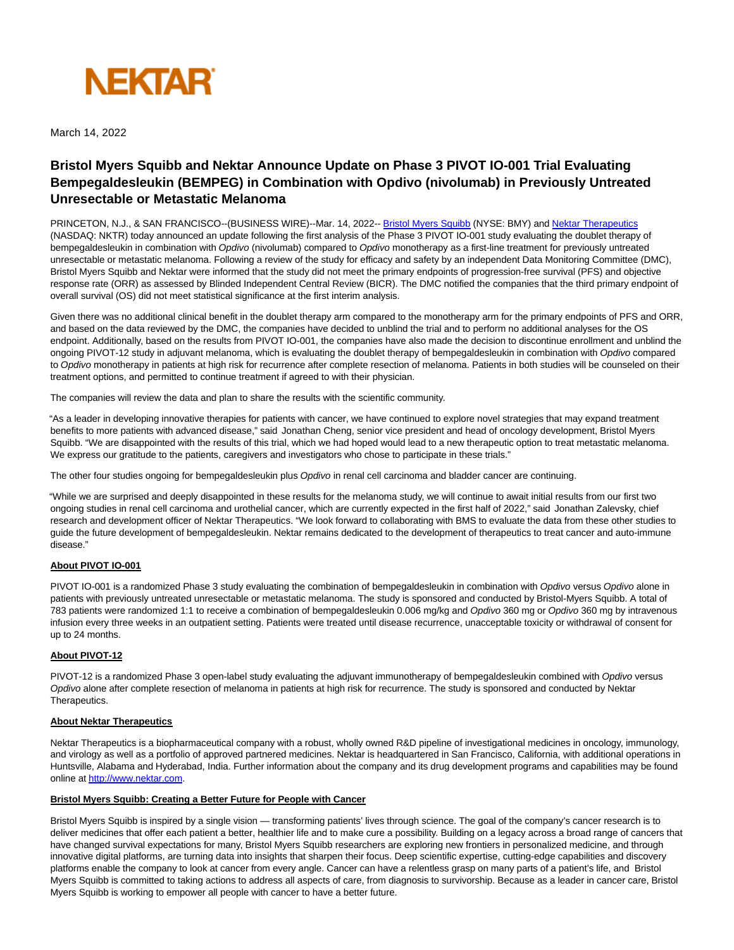

March 14, 2022

# **Bristol Myers Squibb and Nektar Announce Update on Phase 3 PIVOT IO-001 Trial Evaluating Bempegaldesleukin (BEMPEG) in Combination with Opdivo (nivolumab) in Previously Untreated Unresectable or Metastatic Melanoma**

PRINCETON, N.J., & SAN FRANCISCO--(BUSINESS WIRE)--Mar. 14, 2022-- [Bristol Myers Squibb \(](https://cts.businesswire.com/ct/CT?id=smartlink&url=http%3A%2F%2Fwww.bms.com%2F&esheet=52594684&newsitemid=20220313005021&lan=en-US&anchor=Bristol+Myers+Squibb&index=1&md5=b8cbaa3ba3d90b3c473ffc500a59f968)NYSE: BMY) and [Nektar Therapeutics](https://cts.businesswire.com/ct/CT?id=smartlink&url=https%3A%2F%2Fwww.nektar.com%2F&esheet=52594684&newsitemid=20220313005021&lan=en-US&anchor=Nektar+Therapeutics&index=2&md5=b931bca3d75f356c9005c1cf5c6e1cd7) (NASDAQ: NKTR) today announced an update following the first analysis of the Phase 3 PIVOT IO-001 study evaluating the doublet therapy of bempegaldesleukin in combination with Opdivo (nivolumab) compared to Opdivo monotherapy as a first-line treatment for previously untreated unresectable or metastatic melanoma. Following a review of the study for efficacy and safety by an independent Data Monitoring Committee (DMC), Bristol Myers Squibb and Nektar were informed that the study did not meet the primary endpoints of progression-free survival (PFS) and objective response rate (ORR) as assessed by Blinded Independent Central Review (BICR). The DMC notified the companies that the third primary endpoint of overall survival (OS) did not meet statistical significance at the first interim analysis.

Given there was no additional clinical benefit in the doublet therapy arm compared to the monotherapy arm for the primary endpoints of PFS and ORR, and based on the data reviewed by the DMC, the companies have decided to unblind the trial and to perform no additional analyses for the OS endpoint. Additionally, based on the results from PIVOT IO-001, the companies have also made the decision to discontinue enrollment and unblind the ongoing PIVOT-12 study in adjuvant melanoma, which is evaluating the doublet therapy of bempegaldesleukin in combination with Opdivo compared to Opdivo monotherapy in patients at high risk for recurrence after complete resection of melanoma. Patients in both studies will be counseled on their treatment options, and permitted to continue treatment if agreed to with their physician.

The companies will review the data and plan to share the results with the scientific community.

"As a leader in developing innovative therapies for patients with cancer, we have continued to explore novel strategies that may expand treatment benefits to more patients with advanced disease," said Jonathan Cheng, senior vice president and head of oncology development, Bristol Myers Squibb. "We are disappointed with the results of this trial, which we had hoped would lead to a new therapeutic option to treat metastatic melanoma. We express our gratitude to the patients, caregivers and investigators who chose to participate in these trials."

The other four studies ongoing for bempegaldesleukin plus Opdivo in renal cell carcinoma and bladder cancer are continuing.

"While we are surprised and deeply disappointed in these results for the melanoma study, we will continue to await initial results from our first two ongoing studies in renal cell carcinoma and urothelial cancer, which are currently expected in the first half of 2022," said Jonathan Zalevsky, chief research and development officer of Nektar Therapeutics. "We look forward to collaborating with BMS to evaluate the data from these other studies to guide the future development of bempegaldesleukin. Nektar remains dedicated to the development of therapeutics to treat cancer and auto-immune disease."

# **About PIVOT IO-001**

PIVOT IO-001 is a randomized Phase 3 study evaluating the combination of bempegaldesleukin in combination with Opdivo versus Opdivo alone in patients with previously untreated unresectable or metastatic melanoma. The study is sponsored and conducted by Bristol-Myers Squibb. A total of 783 patients were randomized 1:1 to receive a combination of bempegaldesleukin 0.006 mg/kg and Opdivo 360 mg or Opdivo 360 mg by intravenous infusion every three weeks in an outpatient setting. Patients were treated until disease recurrence, unacceptable toxicity or withdrawal of consent for up to 24 months.

## **About PIVOT-12**

PIVOT-12 is a randomized Phase 3 open-label study evaluating the adjuvant immunotherapy of bempegaldesleukin combined with Opdivo versus Opdivo alone after complete resection of melanoma in patients at high risk for recurrence. The study is sponsored and conducted by Nektar Therapeutics.

## **About Nektar Therapeutics**

Nektar Therapeutics is a biopharmaceutical company with a robust, wholly owned R&D pipeline of investigational medicines in oncology, immunology, and virology as well as a portfolio of approved partnered medicines. Nektar is headquartered in San Francisco, California, with additional operations in Huntsville, Alabama and Hyderabad, India. Further information about the company and its drug development programs and capabilities may be found online a[t http://www.nektar.com.](https://cts.businesswire.com/ct/CT?id=smartlink&url=https%3A%2F%2Fc212.net%2Fc%2Flink%2F%3Ft%3D0%26l%3Den%26o%3D3445033-1%26h%3D1830360737%26u%3Dhttp%253A%252F%252Fwww.nektar.com%252F%26a%3Dhttp%253A%252F%252Fwww.nektar.com&esheet=52594684&newsitemid=20220313005021&lan=en-US&anchor=http%3A%2F%2Fwww.nektar.com&index=3&md5=9ce9a488ff8ec9ca950f17972f9deb95)

## **Bristol Myers Squibb: Creating a Better Future for People with Cancer**

Bristol Myers Squibb is inspired by a single vision — transforming patients' lives through science. The goal of the company's cancer research is to deliver medicines that offer each patient a better, healthier life and to make cure a possibility. Building on a legacy across a broad range of cancers that have changed survival expectations for many, Bristol Myers Squibb researchers are exploring new frontiers in personalized medicine, and through innovative digital platforms, are turning data into insights that sharpen their focus. Deep scientific expertise, cutting-edge capabilities and discovery platforms enable the company to look at cancer from every angle. Cancer can have a relentless grasp on many parts of a patient's life, and Bristol Myers Squibb is committed to taking actions to address all aspects of care, from diagnosis to survivorship. Because as a leader in cancer care, Bristol Myers Squibb is working to empower all people with cancer to have a better future.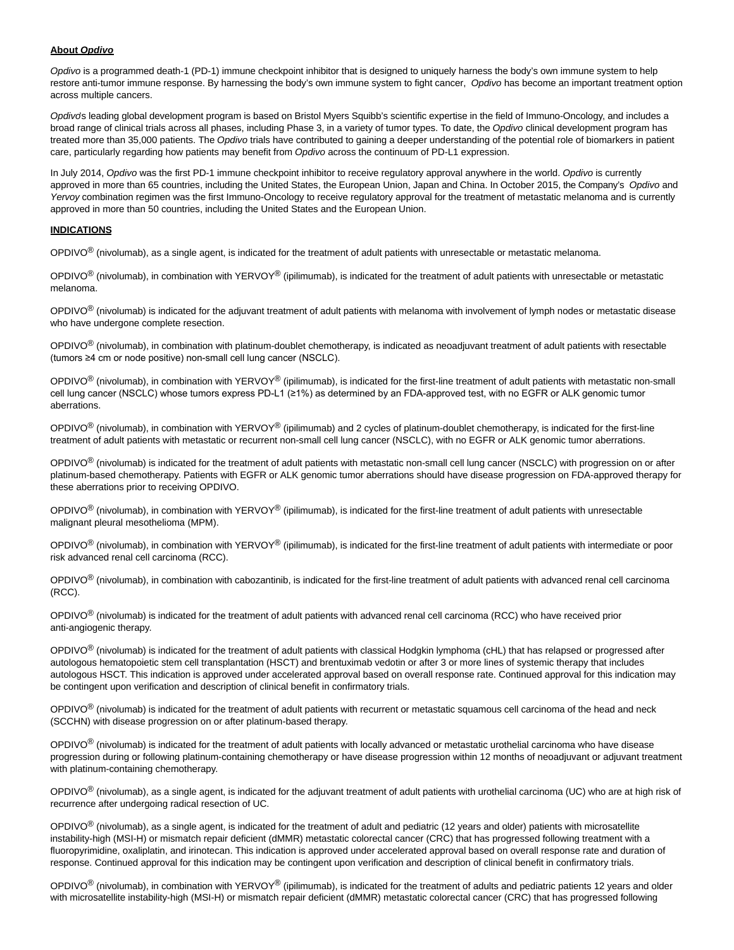## **About Opdivo**

Opdivo is a programmed death-1 (PD-1) immune checkpoint inhibitor that is designed to uniquely harness the body's own immune system to help restore anti-tumor immune response. By harnessing the body's own immune system to fight cancer, Opdivo has become an important treatment option across multiple cancers.

Opdivo's leading global development program is based on Bristol Myers Squibb's scientific expertise in the field of Immuno-Oncology, and includes a broad range of clinical trials across all phases, including Phase 3, in a variety of tumor types. To date, the Opdivo clinical development program has treated more than 35,000 patients. The Opdivo trials have contributed to gaining a deeper understanding of the potential role of biomarkers in patient care, particularly regarding how patients may benefit from Opdivo across the continuum of PD-L1 expression.

In July 2014, Opdivo was the first PD-1 immune checkpoint inhibitor to receive regulatory approval anywhere in the world. Opdivo is currently approved in more than 65 countries, including the United States, the European Union, Japan and China. In October 2015, the Company's Opdivo and Yervoy combination regimen was the first Immuno-Oncology to receive regulatory approval for the treatment of metastatic melanoma and is currently approved in more than 50 countries, including the United States and the European Union.

## **INDICATIONS**

 $OPDIVO<sup>®</sup>$  (nivolumab), as a single agent, is indicated for the treatment of adult patients with unresectable or metastatic melanoma.

OPDIVO<sup>®</sup> (nivolumab), in combination with YERVOY<sup>®</sup> (ipilimumab), is indicated for the treatment of adult patients with unresectable or metastatic melanoma.

OPDIVO<sup>®</sup> (nivolumab) is indicated for the adjuvant treatment of adult patients with melanoma with involvement of lymph nodes or metastatic disease who have undergone complete resection.

 $OPDIVO<sup>®</sup>$  (nivolumab), in combination with platinum-doublet chemotherapy, is indicated as neoadjuvant treatment of adult patients with resectable (tumors ≥4 cm or node positive) non-small cell lung cancer (NSCLC).

OPDIVO<sup>®</sup> (nivolumab), in combination with YERVOY<sup>®</sup> (ipilimumab), is indicated for the first-line treatment of adult patients with metastatic non-small cell lung cancer (NSCLC) whose tumors express PD-L1 (≥1%) as determined by an FDA-approved test, with no EGFR or ALK genomic tumor aberrations.

OPDIVO<sup>®</sup> (nivolumab), in combination with YERVOY<sup>®</sup> (ipilimumab) and 2 cycles of platinum-doublet chemotherapy, is indicated for the first-line treatment of adult patients with metastatic or recurrent non-small cell lung cancer (NSCLC), with no EGFR or ALK genomic tumor aberrations.

 $OPDIVO<sup>®</sup>$  (nivolumab) is indicated for the treatment of adult patients with metastatic non-small cell lung cancer (NSCLC) with progression on or after platinum-based chemotherapy. Patients with EGFR or ALK genomic tumor aberrations should have disease progression on FDA-approved therapy for these aberrations prior to receiving OPDIVO.

OPDIVO<sup>®</sup> (nivolumab), in combination with YERVOY<sup>®</sup> (ipilimumab), is indicated for the first-line treatment of adult patients with unresectable malignant pleural mesothelioma (MPM).

OPDIVO<sup>®</sup> (nivolumab), in combination with YERVOY<sup>®</sup> (ipilimumab), is indicated for the first-line treatment of adult patients with intermediate or poor risk advanced renal cell carcinoma (RCC).

 $OPDIVO<sup>®</sup>$  (nivolumab), in combination with cabozantinib, is indicated for the first-line treatment of adult patients with advanced renal cell carcinoma (RCC).

 $OPDIVO<sup>®</sup>$  (nivolumab) is indicated for the treatment of adult patients with advanced renal cell carcinoma (RCC) who have received prior anti-angiogenic therapy.

OPDIVO<sup>®</sup> (nivolumab) is indicated for the treatment of adult patients with classical Hodgkin lymphoma (cHL) that has relapsed or progressed after autologous hematopoietic stem cell transplantation (HSCT) and brentuximab vedotin or after 3 or more lines of systemic therapy that includes autologous HSCT. This indication is approved under accelerated approval based on overall response rate. Continued approval for this indication may be contingent upon verification and description of clinical benefit in confirmatory trials.

 $OPDIVO<sup>®</sup>$  (nivolumab) is indicated for the treatment of adult patients with recurrent or metastatic squamous cell carcinoma of the head and neck (SCCHN) with disease progression on or after platinum-based therapy.

 $OPDIVO<sup>®</sup>$  (nivolumab) is indicated for the treatment of adult patients with locally advanced or metastatic urothelial carcinoma who have disease progression during or following platinum-containing chemotherapy or have disease progression within 12 months of neoadjuvant or adjuvant treatment with platinum-containing chemotherapy.

OPDIVO<sup>®</sup> (nivolumab), as a single agent, is indicated for the adjuvant treatment of adult patients with urothelial carcinoma (UC) who are at high risk of recurrence after undergoing radical resection of UC.

OPDIVO<sup>®</sup> (nivolumab), as a single agent, is indicated for the treatment of adult and pediatric (12 years and older) patients with microsatellite instability-high (MSI-H) or mismatch repair deficient (dMMR) metastatic colorectal cancer (CRC) that has progressed following treatment with a fluoropyrimidine, oxaliplatin, and irinotecan. This indication is approved under accelerated approval based on overall response rate and duration of response. Continued approval for this indication may be contingent upon verification and description of clinical benefit in confirmatory trials.

OPDIVO<sup>®</sup> (nivolumab), in combination with YERVOY<sup>®</sup> (ipilimumab), is indicated for the treatment of adults and pediatric patients 12 years and older with microsatellite instability-high (MSI-H) or mismatch repair deficient (dMMR) metastatic colorectal cancer (CRC) that has progressed following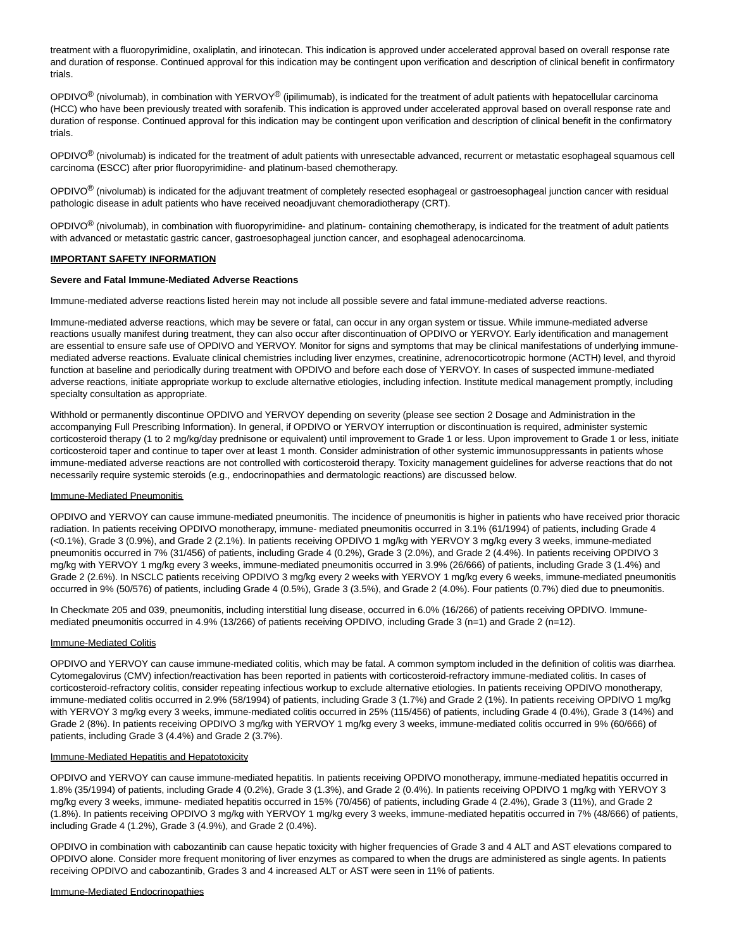treatment with a fluoropyrimidine, oxaliplatin, and irinotecan. This indication is approved under accelerated approval based on overall response rate and duration of response. Continued approval for this indication may be contingent upon verification and description of clinical benefit in confirmatory trials.

OPDIVO<sup>®</sup> (nivolumab), in combination with YERVOY<sup>®</sup> (ipilimumab), is indicated for the treatment of adult patients with hepatocellular carcinoma (HCC) who have been previously treated with sorafenib. This indication is approved under accelerated approval based on overall response rate and duration of response. Continued approval for this indication may be contingent upon verification and description of clinical benefit in the confirmatory trials.

 $OPDIVO<sup>®</sup>$  (nivolumab) is indicated for the treatment of adult patients with unresectable advanced, recurrent or metastatic esophageal squamous cell carcinoma (ESCC) after prior fluoropyrimidine- and platinum-based chemotherapy.

OPDIVO<sup>®</sup> (nivolumab) is indicated for the adjuvant treatment of completely resected esophageal or gastroesophageal junction cancer with residual pathologic disease in adult patients who have received neoadjuvant chemoradiotherapy (CRT).

OPDIVO<sup>®</sup> (nivolumab), in combination with fluoropyrimidine- and platinum- containing chemotherapy, is indicated for the treatment of adult patients with advanced or metastatic gastric cancer, gastroesophageal junction cancer, and esophageal adenocarcinoma.

#### **IMPORTANT SAFETY INFORMATION**

#### **Severe and Fatal Immune-Mediated Adverse Reactions**

Immune-mediated adverse reactions listed herein may not include all possible severe and fatal immune-mediated adverse reactions.

Immune-mediated adverse reactions, which may be severe or fatal, can occur in any organ system or tissue. While immune-mediated adverse reactions usually manifest during treatment, they can also occur after discontinuation of OPDIVO or YERVOY. Early identification and management are essential to ensure safe use of OPDIVO and YERVOY. Monitor for signs and symptoms that may be clinical manifestations of underlying immunemediated adverse reactions. Evaluate clinical chemistries including liver enzymes, creatinine, adrenocorticotropic hormone (ACTH) level, and thyroid function at baseline and periodically during treatment with OPDIVO and before each dose of YERVOY. In cases of suspected immune-mediated adverse reactions, initiate appropriate workup to exclude alternative etiologies, including infection. Institute medical management promptly, including specialty consultation as appropriate.

Withhold or permanently discontinue OPDIVO and YERVOY depending on severity (please see section 2 Dosage and Administration in the accompanying Full Prescribing Information). In general, if OPDIVO or YERVOY interruption or discontinuation is required, administer systemic corticosteroid therapy (1 to 2 mg/kg/day prednisone or equivalent) until improvement to Grade 1 or less. Upon improvement to Grade 1 or less, initiate corticosteroid taper and continue to taper over at least 1 month. Consider administration of other systemic immunosuppressants in patients whose immune-mediated adverse reactions are not controlled with corticosteroid therapy. Toxicity management guidelines for adverse reactions that do not necessarily require systemic steroids (e.g., endocrinopathies and dermatologic reactions) are discussed below.

#### Immune-Mediated Pneumonitis

OPDIVO and YERVOY can cause immune-mediated pneumonitis. The incidence of pneumonitis is higher in patients who have received prior thoracic radiation. In patients receiving OPDIVO monotherapy, immune- mediated pneumonitis occurred in 3.1% (61/1994) of patients, including Grade 4 (<0.1%), Grade 3 (0.9%), and Grade 2 (2.1%). In patients receiving OPDIVO 1 mg/kg with YERVOY 3 mg/kg every 3 weeks, immune-mediated pneumonitis occurred in 7% (31/456) of patients, including Grade 4 (0.2%), Grade 3 (2.0%), and Grade 2 (4.4%). In patients receiving OPDIVO 3 mg/kg with YERVOY 1 mg/kg every 3 weeks, immune-mediated pneumonitis occurred in 3.9% (26/666) of patients, including Grade 3 (1.4%) and Grade 2 (2.6%). In NSCLC patients receiving OPDIVO 3 mg/kg every 2 weeks with YERVOY 1 mg/kg every 6 weeks, immune-mediated pneumonitis occurred in 9% (50/576) of patients, including Grade 4 (0.5%), Grade 3 (3.5%), and Grade 2 (4.0%). Four patients (0.7%) died due to pneumonitis.

In Checkmate 205 and 039, pneumonitis, including interstitial lung disease, occurred in 6.0% (16/266) of patients receiving OPDIVO. Immunemediated pneumonitis occurred in 4.9% (13/266) of patients receiving OPDIVO, including Grade 3 (n=1) and Grade 2 (n=12).

#### Immune-Mediated Colitis

OPDIVO and YERVOY can cause immune-mediated colitis, which may be fatal. A common symptom included in the definition of colitis was diarrhea. Cytomegalovirus (CMV) infection/reactivation has been reported in patients with corticosteroid-refractory immune-mediated colitis. In cases of corticosteroid-refractory colitis, consider repeating infectious workup to exclude alternative etiologies. In patients receiving OPDIVO monotherapy, immune-mediated colitis occurred in 2.9% (58/1994) of patients, including Grade 3 (1.7%) and Grade 2 (1%). In patients receiving OPDIVO 1 mg/kg with YERVOY 3 mg/kg every 3 weeks, immune-mediated colitis occurred in 25% (115/456) of patients, including Grade 4 (0.4%), Grade 3 (14%) and Grade 2 (8%). In patients receiving OPDIVO 3 mg/kg with YERVOY 1 mg/kg every 3 weeks, immune-mediated colitis occurred in 9% (60/666) of patients, including Grade 3 (4.4%) and Grade 2 (3.7%).

#### Immune-Mediated Hepatitis and Hepatotoxicity

OPDIVO and YERVOY can cause immune-mediated hepatitis. In patients receiving OPDIVO monotherapy, immune-mediated hepatitis occurred in 1.8% (35/1994) of patients, including Grade 4 (0.2%), Grade 3 (1.3%), and Grade 2 (0.4%). In patients receiving OPDIVO 1 mg/kg with YERVOY 3 mg/kg every 3 weeks, immune- mediated hepatitis occurred in 15% (70/456) of patients, including Grade 4 (2.4%), Grade 3 (11%), and Grade 2 (1.8%). In patients receiving OPDIVO 3 mg/kg with YERVOY 1 mg/kg every 3 weeks, immune-mediated hepatitis occurred in 7% (48/666) of patients, including Grade 4 (1.2%), Grade 3 (4.9%), and Grade 2 (0.4%).

OPDIVO in combination with cabozantinib can cause hepatic toxicity with higher frequencies of Grade 3 and 4 ALT and AST elevations compared to OPDIVO alone. Consider more frequent monitoring of liver enzymes as compared to when the drugs are administered as single agents. In patients receiving OPDIVO and cabozantinib, Grades 3 and 4 increased ALT or AST were seen in 11% of patients.

#### Immune-Mediated Endocrinopathies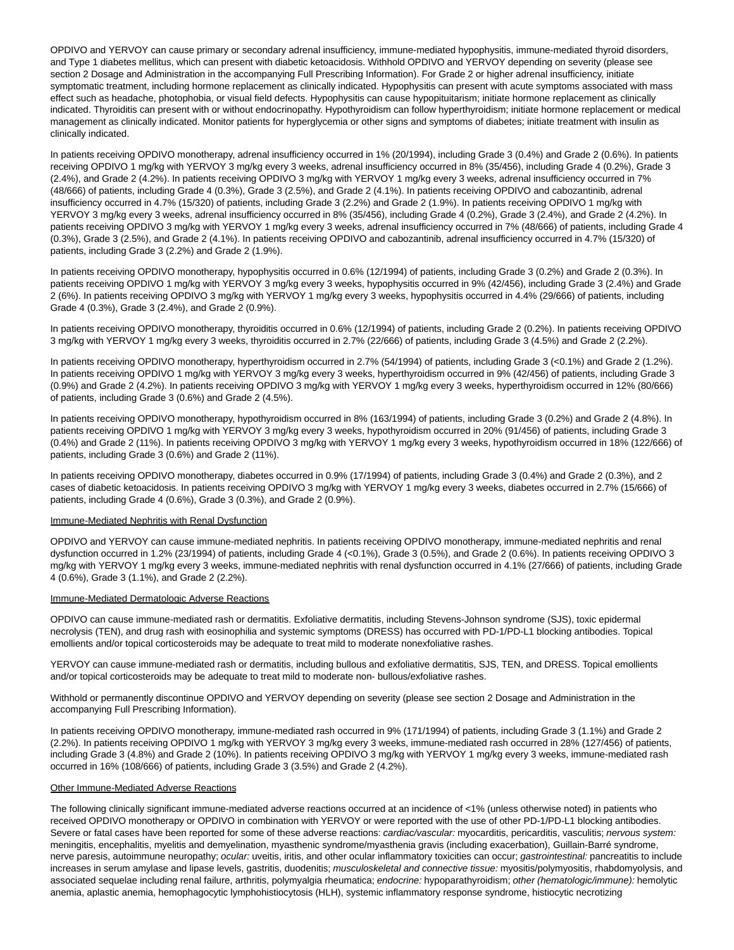OPDIVO and YERVOY can cause primary or secondary adrenal insufficiency, immune-mediated hypophysitis, immune-mediated thyroid disorders, and Type 1 diabetes mellitus, which can present with diabetic ketoacidosis. Withhold OPDIVO and YERVOY depending on severity (please see section 2 Dosage and Administration in the accompanying Full Prescribing Information). For Grade 2 or higher adrenal insufficiency, initiate symptomatic treatment, including hormone replacement as clinically indicated. Hypophysitis can present with acute symptoms associated with mass effect such as headache, photophobia, or visual field defects. Hypophysitis can cause hypopituitarism; initiate hormone replacement as clinically indicated. Thyroiditis can present with or without endocrinopathy. Hypothyroidism can follow hyperthyroidism; initiate hormone replacement or medical management as clinically indicated. Monitor patients for hyperglycemia or other signs and symptoms of diabetes; initiate treatment with insulin as clinically indicated.

In patients receiving OPDIVO monotherapy, adrenal insufficiency occurred in 1% (20/1994), including Grade 3 (0.4%) and Grade 2 (0.6%). In patients receiving OPDIVO 1 mg/kg with YERVOY 3 mg/kg every 3 weeks, adrenal insufficiency occurred in 8% (35/456), including Grade 4 (0.2%), Grade 3 (2.4%), and Grade 2 (4.2%). In patients receiving OPDIVO 3 mg/kg with YERVOY 1 mg/kg every 3 weeks, adrenal insufficiency occurred in 7% (48/666) of patients, including Grade 4 (0.3%), Grade 3 (2.5%), and Grade 2 (4.1%). In patients receiving OPDIVO and cabozantinib, adrenal insufficiency occurred in 4.7% (15/320) of patients, including Grade 3 (2.2%) and Grade 2 (1.9%). In patients receiving OPDIVO 1 mg/kg with YERVOY 3 mg/kg every 3 weeks, adrenal insufficiency occurred in 8% (35/456), including Grade 4 (0.2%), Grade 3 (2.4%), and Grade 2 (4.2%). In patients receiving OPDIVO 3 mg/kg with YERVOY 1 mg/kg every 3 weeks, adrenal insufficiency occurred in 7% (48/666) of patients, including Grade 4 (0.3%), Grade 3 (2.5%), and Grade 2 (4.1%). In patients receiving OPDIVO and cabozantinib, adrenal insufficiency occurred in 4.7% (15/320) of patients, including Grade 3 (2.2%) and Grade 2 (1.9%).

In patients receiving OPDIVO monotherapy, hypophysitis occurred in 0.6% (12/1994) of patients, including Grade 3 (0.2%) and Grade 2 (0.3%). In patients receiving OPDIVO 1 mg/kg with YERVOY 3 mg/kg every 3 weeks, hypophysitis occurred in 9% (42/456), including Grade 3 (2.4%) and Grade 2 (6%). In patients receiving OPDIVO 3 mg/kg with YERVOY 1 mg/kg every 3 weeks, hypophysitis occurred in 4.4% (29/666) of patients, including Grade 4 (0.3%), Grade 3 (2.4%), and Grade 2 (0.9%).

In patients receiving OPDIVO monotherapy, thyroiditis occurred in 0.6% (12/1994) of patients, including Grade 2 (0.2%). In patients receiving OPDIVO 3 mg/kg with YERVOY 1 mg/kg every 3 weeks, thyroiditis occurred in 2.7% (22/666) of patients, including Grade 3 (4.5%) and Grade 2 (2.2%).

In patients receiving OPDIVO monotherapy, hyperthyroidism occurred in 2.7% (54/1994) of patients, including Grade 3 (<0.1%) and Grade 2 (1.2%). In patients receiving OPDIVO 1 mg/kg with YERVOY 3 mg/kg every 3 weeks, hyperthyroidism occurred in 9% (42/456) of patients, including Grade 3 (0.9%) and Grade 2 (4.2%). In patients receiving OPDIVO 3 mg/kg with YERVOY 1 mg/kg every 3 weeks, hyperthyroidism occurred in 12% (80/666) of patients, including Grade 3 (0.6%) and Grade 2 (4.5%).

In patients receiving OPDIVO monotherapy, hypothyroidism occurred in 8% (163/1994) of patients, including Grade 3 (0.2%) and Grade 2 (4.8%). In patients receiving OPDIVO 1 mg/kg with YERVOY 3 mg/kg every 3 weeks, hypothyroidism occurred in 20% (91/456) of patients, including Grade 3 (0.4%) and Grade 2 (11%). In patients receiving OPDIVO 3 mg/kg with YERVOY 1 mg/kg every 3 weeks, hypothyroidism occurred in 18% (122/666) of patients, including Grade 3 (0.6%) and Grade 2 (11%).

In patients receiving OPDIVO monotherapy, diabetes occurred in 0.9% (17/1994) of patients, including Grade 3 (0.4%) and Grade 2 (0.3%), and 2 cases of diabetic ketoacidosis. In patients receiving OPDIVO 3 mg/kg with YERVOY 1 mg/kg every 3 weeks, diabetes occurred in 2.7% (15/666) of patients, including Grade 4 (0.6%), Grade 3 (0.3%), and Grade 2 (0.9%).

#### Immune-Mediated Nephritis with Renal Dysfunction

OPDIVO and YERVOY can cause immune-mediated nephritis. In patients receiving OPDIVO monotherapy, immune-mediated nephritis and renal dysfunction occurred in 1.2% (23/1994) of patients, including Grade 4 (<0.1%), Grade 3 (0.5%), and Grade 2 (0.6%). In patients receiving OPDIVO 3 mg/kg with YERVOY 1 mg/kg every 3 weeks, immune-mediated nephritis with renal dysfunction occurred in 4.1% (27/666) of patients, including Grade 4 (0.6%), Grade 3 (1.1%), and Grade 2 (2.2%).

#### Immune-Mediated Dermatologic Adverse Reactions

OPDIVO can cause immune-mediated rash or dermatitis. Exfoliative dermatitis, including Stevens-Johnson syndrome (SJS), toxic epidermal necrolysis (TEN), and drug rash with eosinophilia and systemic symptoms (DRESS) has occurred with PD-1/PD-L1 blocking antibodies. Topical emollients and/or topical corticosteroids may be adequate to treat mild to moderate nonexfoliative rashes.

YERVOY can cause immune-mediated rash or dermatitis, including bullous and exfoliative dermatitis, SJS, TEN, and DRESS. Topical emollients and/or topical corticosteroids may be adequate to treat mild to moderate non- bullous/exfoliative rashes.

Withhold or permanently discontinue OPDIVO and YERVOY depending on severity (please see section 2 Dosage and Administration in the accompanying Full Prescribing Information).

In patients receiving OPDIVO monotherapy, immune-mediated rash occurred in 9% (171/1994) of patients, including Grade 3 (1.1%) and Grade 2 (2.2%). In patients receiving OPDIVO 1 mg/kg with YERVOY 3 mg/kg every 3 weeks, immune-mediated rash occurred in 28% (127/456) of patients, including Grade 3 (4.8%) and Grade 2 (10%). In patients receiving OPDIVO 3 mg/kg with YERVOY 1 mg/kg every 3 weeks, immune-mediated rash occurred in 16% (108/666) of patients, including Grade 3 (3.5%) and Grade 2 (4.2%).

## Other Immune-Mediated Adverse Reactions

The following clinically significant immune-mediated adverse reactions occurred at an incidence of <1% (unless otherwise noted) in patients who received OPDIVO monotherapy or OPDIVO in combination with YERVOY or were reported with the use of other PD-1/PD-L1 blocking antibodies. Severe or fatal cases have been reported for some of these adverse reactions: cardiac/vascular: myocarditis, pericarditis, vasculitis; nervous system: meningitis, encephalitis, myelitis and demyelination, myasthenic syndrome/myasthenia gravis (including exacerbation), Guillain-Barré syndrome, nerve paresis, autoimmune neuropathy; ocular: uveitis, iritis, and other ocular inflammatory toxicities can occur; gastrointestinal: pancreatitis to include increases in serum amylase and lipase levels, gastritis, duodenitis; musculoskeletal and connective tissue: myositis/polymyositis, rhabdomyolysis, and associated sequelae including renal failure, arthritis, polymyalgia rheumatica; endocrine: hypoparathyroidism; other (hematologic/immune): hemolytic anemia, aplastic anemia, hemophagocytic lymphohistiocytosis (HLH), systemic inflammatory response syndrome, histiocytic necrotizing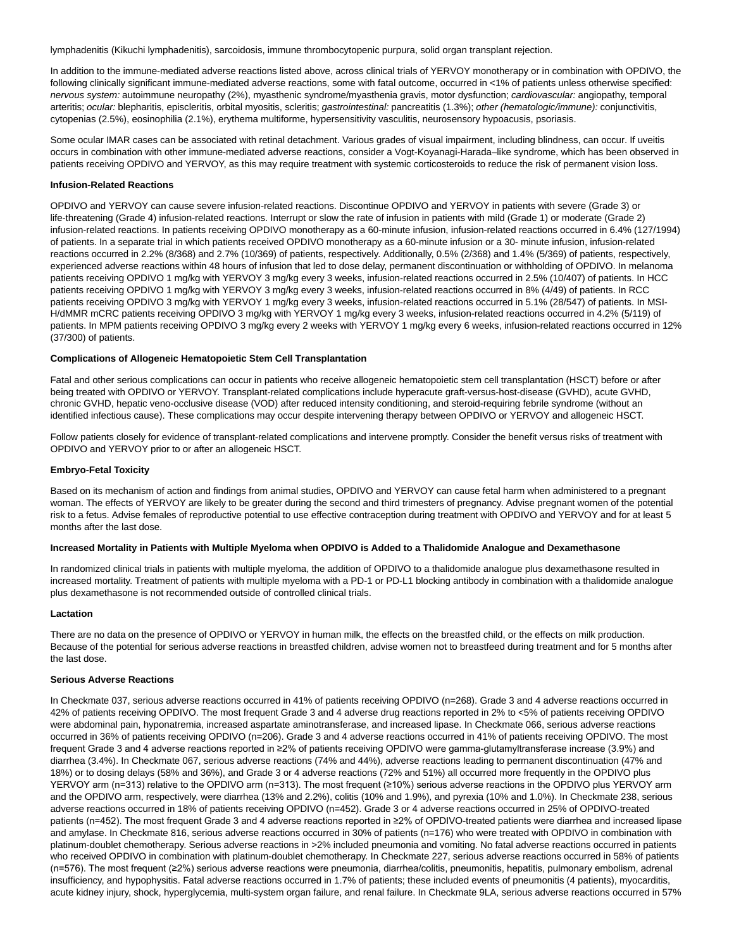lymphadenitis (Kikuchi lymphadenitis), sarcoidosis, immune thrombocytopenic purpura, solid organ transplant rejection.

In addition to the immune-mediated adverse reactions listed above, across clinical trials of YERVOY monotherapy or in combination with OPDIVO, the following clinically significant immune-mediated adverse reactions, some with fatal outcome, occurred in <1% of patients unless otherwise specified: nervous system: autoimmune neuropathy (2%), myasthenic syndrome/myasthenia gravis, motor dysfunction; cardiovascular: angiopathy, temporal arteritis; ocular: blepharitis, episcleritis, orbital myositis, scleritis; gastrointestinal: pancreatitis (1.3%); other (hematologic/immune): conjunctivitis, cytopenias (2.5%), eosinophilia (2.1%), erythema multiforme, hypersensitivity vasculitis, neurosensory hypoacusis, psoriasis.

Some ocular IMAR cases can be associated with retinal detachment. Various grades of visual impairment, including blindness, can occur. If uveitis occurs in combination with other immune-mediated adverse reactions, consider a Vogt-Koyanagi-Harada–like syndrome, which has been observed in patients receiving OPDIVO and YERVOY, as this may require treatment with systemic corticosteroids to reduce the risk of permanent vision loss.

## **Infusion-Related Reactions**

OPDIVO and YERVOY can cause severe infusion-related reactions. Discontinue OPDIVO and YERVOY in patients with severe (Grade 3) or life-threatening (Grade 4) infusion-related reactions. Interrupt or slow the rate of infusion in patients with mild (Grade 1) or moderate (Grade 2) infusion-related reactions. In patients receiving OPDIVO monotherapy as a 60-minute infusion, infusion-related reactions occurred in 6.4% (127/1994) of patients. In a separate trial in which patients received OPDIVO monotherapy as a 60-minute infusion or a 30- minute infusion, infusion-related reactions occurred in 2.2% (8/368) and 2.7% (10/369) of patients, respectively. Additionally, 0.5% (2/368) and 1.4% (5/369) of patients, respectively, experienced adverse reactions within 48 hours of infusion that led to dose delay, permanent discontinuation or withholding of OPDIVO. In melanoma patients receiving OPDIVO 1 mg/kg with YERVOY 3 mg/kg every 3 weeks, infusion-related reactions occurred in 2.5% (10/407) of patients. In HCC patients receiving OPDIVO 1 mg/kg with YERVOY 3 mg/kg every 3 weeks, infusion-related reactions occurred in 8% (4/49) of patients. In RCC patients receiving OPDIVO 3 mg/kg with YERVOY 1 mg/kg every 3 weeks, infusion-related reactions occurred in 5.1% (28/547) of patients. In MSI-H/dMMR mCRC patients receiving OPDIVO 3 mg/kg with YERVOY 1 mg/kg every 3 weeks, infusion-related reactions occurred in 4.2% (5/119) of patients. In MPM patients receiving OPDIVO 3 mg/kg every 2 weeks with YERVOY 1 mg/kg every 6 weeks, infusion-related reactions occurred in 12% (37/300) of patients.

#### **Complications of Allogeneic Hematopoietic Stem Cell Transplantation**

Fatal and other serious complications can occur in patients who receive allogeneic hematopoietic stem cell transplantation (HSCT) before or after being treated with OPDIVO or YERVOY. Transplant-related complications include hyperacute graft-versus-host-disease (GVHD), acute GVHD, chronic GVHD, hepatic veno-occlusive disease (VOD) after reduced intensity conditioning, and steroid-requiring febrile syndrome (without an identified infectious cause). These complications may occur despite intervening therapy between OPDIVO or YERVOY and allogeneic HSCT.

Follow patients closely for evidence of transplant-related complications and intervene promptly. Consider the benefit versus risks of treatment with OPDIVO and YERVOY prior to or after an allogeneic HSCT.

#### **Embryo-Fetal Toxicity**

Based on its mechanism of action and findings from animal studies, OPDIVO and YERVOY can cause fetal harm when administered to a pregnant woman. The effects of YERVOY are likely to be greater during the second and third trimesters of pregnancy. Advise pregnant women of the potential risk to a fetus. Advise females of reproductive potential to use effective contraception during treatment with OPDIVO and YERVOY and for at least 5 months after the last dose.

## **Increased Mortality in Patients with Multiple Myeloma when OPDIVO is Added to a Thalidomide Analogue and Dexamethasone**

In randomized clinical trials in patients with multiple myeloma, the addition of OPDIVO to a thalidomide analogue plus dexamethasone resulted in increased mortality. Treatment of patients with multiple myeloma with a PD-1 or PD-L1 blocking antibody in combination with a thalidomide analogue plus dexamethasone is not recommended outside of controlled clinical trials.

#### **Lactation**

There are no data on the presence of OPDIVO or YERVOY in human milk, the effects on the breastfed child, or the effects on milk production. Because of the potential for serious adverse reactions in breastfed children, advise women not to breastfeed during treatment and for 5 months after the last dose.

#### **Serious Adverse Reactions**

In Checkmate 037, serious adverse reactions occurred in 41% of patients receiving OPDIVO (n=268). Grade 3 and 4 adverse reactions occurred in 42% of patients receiving OPDIVO. The most frequent Grade 3 and 4 adverse drug reactions reported in 2% to <5% of patients receiving OPDIVO were abdominal pain, hyponatremia, increased aspartate aminotransferase, and increased lipase. In Checkmate 066, serious adverse reactions occurred in 36% of patients receiving OPDIVO (n=206). Grade 3 and 4 adverse reactions occurred in 41% of patients receiving OPDIVO. The most frequent Grade 3 and 4 adverse reactions reported in ≥2% of patients receiving OPDIVO were gamma-glutamyltransferase increase (3.9%) and diarrhea (3.4%). In Checkmate 067, serious adverse reactions (74% and 44%), adverse reactions leading to permanent discontinuation (47% and 18%) or to dosing delays (58% and 36%), and Grade 3 or 4 adverse reactions (72% and 51%) all occurred more frequently in the OPDIVO plus YERVOY arm (n=313) relative to the OPDIVO arm (n=313). The most frequent (≥10%) serious adverse reactions in the OPDIVO plus YERVOY arm and the OPDIVO arm, respectively, were diarrhea (13% and 2.2%), colitis (10% and 1.9%), and pyrexia (10% and 1.0%). In Checkmate 238, serious adverse reactions occurred in 18% of patients receiving OPDIVO (n=452). Grade 3 or 4 adverse reactions occurred in 25% of OPDIVO-treated patients (n=452). The most frequent Grade 3 and 4 adverse reactions reported in ≥2% of OPDIVO-treated patients were diarrhea and increased lipase and amylase. In Checkmate 816, serious adverse reactions occurred in 30% of patients (n=176) who were treated with OPDIVO in combination with platinum-doublet chemotherapy. Serious adverse reactions in >2% included pneumonia and vomiting. No fatal adverse reactions occurred in patients who received OPDIVO in combination with platinum-doublet chemotherapy. In Checkmate 227, serious adverse reactions occurred in 58% of patients (n=576). The most frequent (≥2%) serious adverse reactions were pneumonia, diarrhea/colitis, pneumonitis, hepatitis, pulmonary embolism, adrenal insufficiency, and hypophysitis. Fatal adverse reactions occurred in 1.7% of patients; these included events of pneumonitis (4 patients), myocarditis, acute kidney injury, shock, hyperglycemia, multi-system organ failure, and renal failure. In Checkmate 9LA, serious adverse reactions occurred in 57%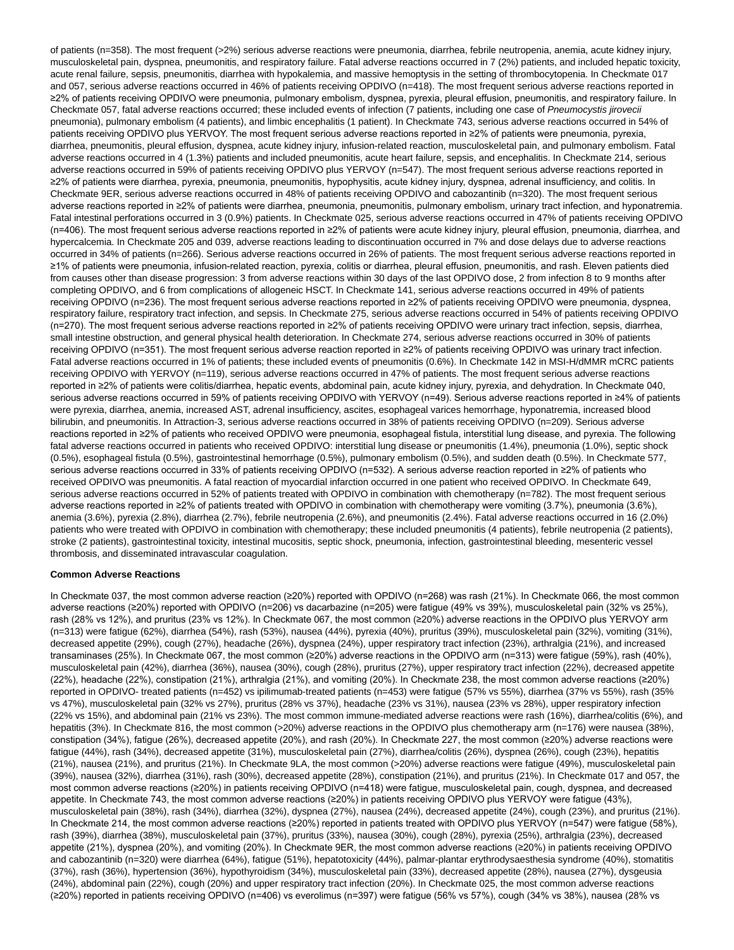of patients (n=358). The most frequent (>2%) serious adverse reactions were pneumonia, diarrhea, febrile neutropenia, anemia, acute kidney injury, musculoskeletal pain, dyspnea, pneumonitis, and respiratory failure. Fatal adverse reactions occurred in 7 (2%) patients, and included hepatic toxicity, acute renal failure, sepsis, pneumonitis, diarrhea with hypokalemia, and massive hemoptysis in the setting of thrombocytopenia. In Checkmate 017 and 057, serious adverse reactions occurred in 46% of patients receiving OPDIVO (n=418). The most frequent serious adverse reactions reported in ≥2% of patients receiving OPDIVO were pneumonia, pulmonary embolism, dyspnea, pyrexia, pleural effusion, pneumonitis, and respiratory failure. In Checkmate 057, fatal adverse reactions occurred; these included events of infection (7 patients, including one case of Pneumocystis jirovecii pneumonia), pulmonary embolism (4 patients), and limbic encephalitis (1 patient). In Checkmate 743, serious adverse reactions occurred in 54% of patients receiving OPDIVO plus YERVOY. The most frequent serious adverse reactions reported in ≥2% of patients were pneumonia, pyrexia, diarrhea, pneumonitis, pleural effusion, dyspnea, acute kidney injury, infusion-related reaction, musculoskeletal pain, and pulmonary embolism. Fatal adverse reactions occurred in 4 (1.3%) patients and included pneumonitis, acute heart failure, sepsis, and encephalitis. In Checkmate 214, serious adverse reactions occurred in 59% of patients receiving OPDIVO plus YERVOY (n=547). The most frequent serious adverse reactions reported in ≥2% of patients were diarrhea, pyrexia, pneumonia, pneumonitis, hypophysitis, acute kidney injury, dyspnea, adrenal insufficiency, and colitis. In Checkmate 9ER, serious adverse reactions occurred in 48% of patients receiving OPDIVO and cabozantinib (n=320). The most frequent serious adverse reactions reported in ≥2% of patients were diarrhea, pneumonia, pneumonitis, pulmonary embolism, urinary tract infection, and hyponatremia. Fatal intestinal perforations occurred in 3 (0.9%) patients. In Checkmate 025, serious adverse reactions occurred in 47% of patients receiving OPDIVO (n=406). The most frequent serious adverse reactions reported in ≥2% of patients were acute kidney injury, pleural effusion, pneumonia, diarrhea, and hypercalcemia. In Checkmate 205 and 039, adverse reactions leading to discontinuation occurred in 7% and dose delays due to adverse reactions occurred in 34% of patients (n=266). Serious adverse reactions occurred in 26% of patients. The most frequent serious adverse reactions reported in ≥1% of patients were pneumonia, infusion-related reaction, pyrexia, colitis or diarrhea, pleural effusion, pneumonitis, and rash. Eleven patients died from causes other than disease progression: 3 from adverse reactions within 30 days of the last OPDIVO dose, 2 from infection 8 to 9 months after completing OPDIVO, and 6 from complications of allogeneic HSCT. In Checkmate 141, serious adverse reactions occurred in 49% of patients receiving OPDIVO (n=236). The most frequent serious adverse reactions reported in ≥2% of patients receiving OPDIVO were pneumonia, dyspnea, respiratory failure, respiratory tract infection, and sepsis. In Checkmate 275, serious adverse reactions occurred in 54% of patients receiving OPDIVO (n=270). The most frequent serious adverse reactions reported in ≥2% of patients receiving OPDIVO were urinary tract infection, sepsis, diarrhea, small intestine obstruction, and general physical health deterioration. In Checkmate 274, serious adverse reactions occurred in 30% of patients receiving OPDIVO (n=351). The most frequent serious adverse reaction reported in ≥2% of patients receiving OPDIVO was urinary tract infection. Fatal adverse reactions occurred in 1% of patients; these included events of pneumonitis (0.6%). In Checkmate 142 in MSI-H/dMMR mCRC patients receiving OPDIVO with YERVOY (n=119), serious adverse reactions occurred in 47% of patients. The most frequent serious adverse reactions reported in ≥2% of patients were colitis/diarrhea, hepatic events, abdominal pain, acute kidney injury, pyrexia, and dehydration. In Checkmate 040, serious adverse reactions occurred in 59% of patients receiving OPDIVO with YERVOY (n=49). Serious adverse reactions reported in ≥4% of patients were pyrexia, diarrhea, anemia, increased AST, adrenal insufficiency, ascites, esophageal varices hemorrhage, hyponatremia, increased blood bilirubin, and pneumonitis. In Attraction-3, serious adverse reactions occurred in 38% of patients receiving OPDIVO (n=209). Serious adverse reactions reported in ≥2% of patients who received OPDIVO were pneumonia, esophageal fistula, interstitial lung disease, and pyrexia. The following fatal adverse reactions occurred in patients who received OPDIVO: interstitial lung disease or pneumonitis (1.4%), pneumonia (1.0%), septic shock (0.5%), esophageal fistula (0.5%), gastrointestinal hemorrhage (0.5%), pulmonary embolism (0.5%), and sudden death (0.5%). In Checkmate 577, serious adverse reactions occurred in 33% of patients receiving OPDIVO (n=532). A serious adverse reaction reported in ≥2% of patients who received OPDIVO was pneumonitis. A fatal reaction of myocardial infarction occurred in one patient who received OPDIVO. In Checkmate 649, serious adverse reactions occurred in 52% of patients treated with OPDIVO in combination with chemotherapy (n=782). The most frequent serious adverse reactions reported in ≥2% of patients treated with OPDIVO in combination with chemotherapy were vomiting (3.7%), pneumonia (3.6%), anemia (3.6%), pyrexia (2.8%), diarrhea (2.7%), febrile neutropenia (2.6%), and pneumonitis (2.4%). Fatal adverse reactions occurred in 16 (2.0%) patients who were treated with OPDIVO in combination with chemotherapy; these included pneumonitis (4 patients), febrile neutropenia (2 patients), stroke (2 patients), gastrointestinal toxicity, intestinal mucositis, septic shock, pneumonia, infection, gastrointestinal bleeding, mesenteric vessel thrombosis, and disseminated intravascular coagulation.

## **Common Adverse Reactions**

In Checkmate 037, the most common adverse reaction (≥20%) reported with OPDIVO (n=268) was rash (21%). In Checkmate 066, the most common adverse reactions (≥20%) reported with OPDIVO (n=206) vs dacarbazine (n=205) were fatigue (49% vs 39%), musculoskeletal pain (32% vs 25%), rash (28% vs 12%), and pruritus (23% vs 12%). In Checkmate 067, the most common (≥20%) adverse reactions in the OPDIVO plus YERVOY arm (n=313) were fatigue (62%), diarrhea (54%), rash (53%), nausea (44%), pyrexia (40%), pruritus (39%), musculoskeletal pain (32%), vomiting (31%), decreased appetite (29%), cough (27%), headache (26%), dyspnea (24%), upper respiratory tract infection (23%), arthralgia (21%), and increased transaminases (25%). In Checkmate 067, the most common (≥20%) adverse reactions in the OPDIVO arm (n=313) were fatigue (59%), rash (40%), musculoskeletal pain (42%), diarrhea (36%), nausea (30%), cough (28%), pruritus (27%), upper respiratory tract infection (22%), decreased appetite (22%), headache (22%), constipation (21%), arthralgia (21%), and vomiting (20%). In Checkmate 238, the most common adverse reactions (≥20%) reported in OPDIVO- treated patients (n=452) vs ipilimumab-treated patients (n=453) were fatigue (57% vs 55%), diarrhea (37% vs 55%), rash (35% vs 47%), musculoskeletal pain (32% vs 27%), pruritus (28% vs 37%), headache (23% vs 31%), nausea (23% vs 28%), upper respiratory infection (22% vs 15%), and abdominal pain (21% vs 23%). The most common immune-mediated adverse reactions were rash (16%), diarrhea/colitis (6%), and hepatitis (3%). In Checkmate 816, the most common (>20%) adverse reactions in the OPDIVO plus chemotherapy arm (n=176) were nausea (38%), constipation (34%), fatigue (26%), decreased appetite (20%), and rash (20%). In Checkmate 227, the most common (≥20%) adverse reactions were fatigue (44%), rash (34%), decreased appetite (31%), musculoskeletal pain (27%), diarrhea/colitis (26%), dyspnea (26%), cough (23%), hepatitis (21%), nausea (21%), and pruritus (21%). In Checkmate 9LA, the most common (>20%) adverse reactions were fatigue (49%), musculoskeletal pain (39%), nausea (32%), diarrhea (31%), rash (30%), decreased appetite (28%), constipation (21%), and pruritus (21%). In Checkmate 017 and 057, the most common adverse reactions (≥20%) in patients receiving OPDIVO (n=418) were fatigue, musculoskeletal pain, cough, dyspnea, and decreased appetite. In Checkmate 743, the most common adverse reactions (≥20%) in patients receiving OPDIVO plus YERVOY were fatigue (43%), musculoskeletal pain (38%), rash (34%), diarrhea (32%), dyspnea (27%), nausea (24%), decreased appetite (24%), cough (23%), and pruritus (21%). In Checkmate 214, the most common adverse reactions (≥20%) reported in patients treated with OPDIVO plus YERVOY (n=547) were fatigue (58%), rash (39%), diarrhea (38%), musculoskeletal pain (37%), pruritus (33%), nausea (30%), cough (28%), pyrexia (25%), arthralgia (23%), decreased appetite (21%), dyspnea (20%), and vomiting (20%). In Checkmate 9ER, the most common adverse reactions (≥20%) in patients receiving OPDIVO and cabozantinib (n=320) were diarrhea (64%), fatigue (51%), hepatotoxicity (44%), palmar-plantar erythrodysaesthesia syndrome (40%), stomatitis (37%), rash (36%), hypertension (36%), hypothyroidism (34%), musculoskeletal pain (33%), decreased appetite (28%), nausea (27%), dysgeusia (24%), abdominal pain (22%), cough (20%) and upper respiratory tract infection (20%). In Checkmate 025, the most common adverse reactions (≥20%) reported in patients receiving OPDIVO (n=406) vs everolimus (n=397) were fatigue (56% vs 57%), cough (34% vs 38%), nausea (28% vs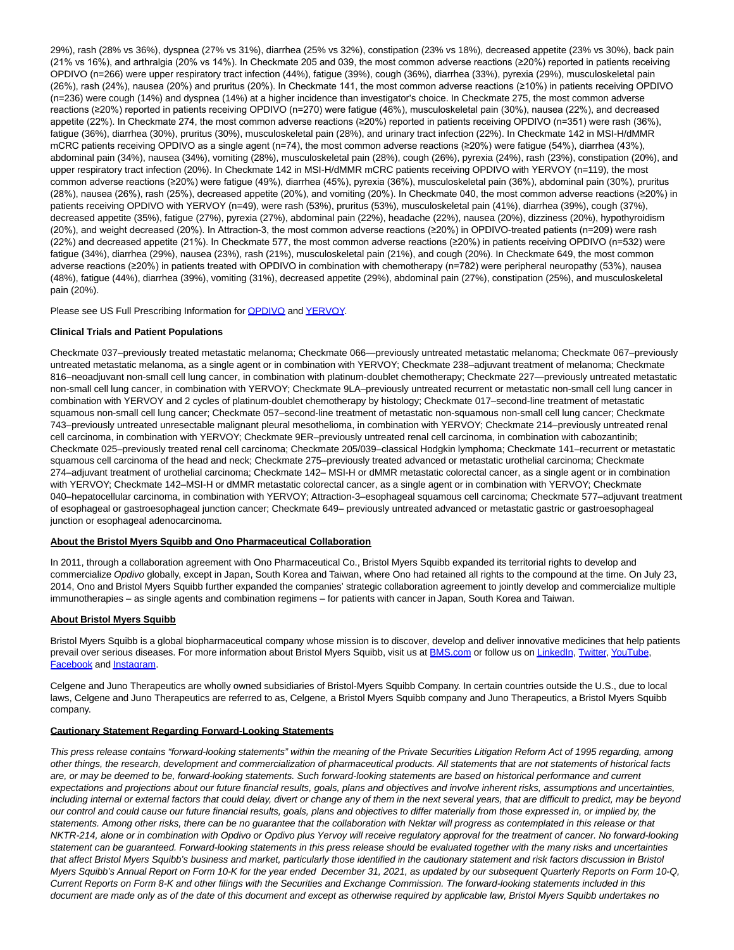29%), rash (28% vs 36%), dyspnea (27% vs 31%), diarrhea (25% vs 32%), constipation (23% vs 18%), decreased appetite (23% vs 30%), back pain (21% vs 16%), and arthralgia (20% vs 14%). In Checkmate 205 and 039, the most common adverse reactions (≥20%) reported in patients receiving OPDIVO (n=266) were upper respiratory tract infection (44%), fatigue (39%), cough (36%), diarrhea (33%), pyrexia (29%), musculoskeletal pain (26%), rash (24%), nausea (20%) and pruritus (20%). In Checkmate 141, the most common adverse reactions (≥10%) in patients receiving OPDIVO (n=236) were cough (14%) and dyspnea (14%) at a higher incidence than investigator's choice. In Checkmate 275, the most common adverse reactions (≥20%) reported in patients receiving OPDIVO (n=270) were fatigue (46%), musculoskeletal pain (30%), nausea (22%), and decreased appetite (22%). In Checkmate 274, the most common adverse reactions (≥20%) reported in patients receiving OPDIVO (n=351) were rash (36%), fatigue (36%), diarrhea (30%), pruritus (30%), musculoskeletal pain (28%), and urinary tract infection (22%). In Checkmate 142 in MSI-H/dMMR mCRC patients receiving OPDIVO as a single agent (n=74), the most common adverse reactions (≥20%) were fatigue (54%), diarrhea (43%), abdominal pain (34%), nausea (34%), vomiting (28%), musculoskeletal pain (28%), cough (26%), pyrexia (24%), rash (23%), constipation (20%), and upper respiratory tract infection (20%). In Checkmate 142 in MSI-H/dMMR mCRC patients receiving OPDIVO with YERVOY (n=119), the most common adverse reactions (≥20%) were fatigue (49%), diarrhea (45%), pyrexia (36%), musculoskeletal pain (36%), abdominal pain (30%), pruritus (28%), nausea (26%), rash (25%), decreased appetite (20%), and vomiting (20%). In Checkmate 040, the most common adverse reactions (≥20%) in patients receiving OPDIVO with YERVOY (n=49), were rash (53%), pruritus (53%), musculoskeletal pain (41%), diarrhea (39%), cough (37%), decreased appetite (35%), fatigue (27%), pyrexia (27%), abdominal pain (22%), headache (22%), nausea (20%), dizziness (20%), hypothyroidism (20%), and weight decreased (20%). In Attraction-3, the most common adverse reactions (≥20%) in OPDIVO-treated patients (n=209) were rash (22%) and decreased appetite (21%). In Checkmate 577, the most common adverse reactions (≥20%) in patients receiving OPDIVO (n=532) were fatigue (34%), diarrhea (29%), nausea (23%), rash (21%), musculoskeletal pain (21%), and cough (20%). In Checkmate 649, the most common adverse reactions (≥20%) in patients treated with OPDIVO in combination with chemotherapy (n=782) were peripheral neuropathy (53%), nausea (48%), fatigue (44%), diarrhea (39%), vomiting (31%), decreased appetite (29%), abdominal pain (27%), constipation (25%), and musculoskeletal pain (20%).

Please see US Full Prescribing Information for [OPDIVO a](https://cts.businesswire.com/ct/CT?id=smartlink&url=https%3A%2F%2Fpackageinserts.bms.com%2Fpi%2Fpi_opdivo.pdf&esheet=52594684&newsitemid=20220313005021&lan=en-US&anchor=OPDIVO&index=4&md5=5b0a58af6b7d66567777c7e338b745df)n[d YERVOY.](https://cts.businesswire.com/ct/CT?id=smartlink&url=https%3A%2F%2Fpackageinserts.bms.com%2Fpi%2Fpi_yervoy.pdf&esheet=52594684&newsitemid=20220313005021&lan=en-US&anchor=YERVOY&index=5&md5=9dd641959e8cb80a2925fd6e6111abdb)

## **Clinical Trials and Patient Populations**

Checkmate 037–previously treated metastatic melanoma; Checkmate 066—previously untreated metastatic melanoma; Checkmate 067–previously untreated metastatic melanoma, as a single agent or in combination with YERVOY; Checkmate 238–adjuvant treatment of melanoma; Checkmate 816–neoadjuvant non-small cell lung cancer, in combination with platinum-doublet chemotherapy; Checkmate 227—previously untreated metastatic non-small cell lung cancer, in combination with YERVOY; Checkmate 9LA–previously untreated recurrent or metastatic non-small cell lung cancer in combination with YERVOY and 2 cycles of platinum-doublet chemotherapy by histology; Checkmate 017–second-line treatment of metastatic squamous non-small cell lung cancer; Checkmate 057–second-line treatment of metastatic non-squamous non-small cell lung cancer; Checkmate 743–previously untreated unresectable malignant pleural mesothelioma, in combination with YERVOY; Checkmate 214–previously untreated renal cell carcinoma, in combination with YERVOY; Checkmate 9ER–previously untreated renal cell carcinoma, in combination with cabozantinib; Checkmate 025–previously treated renal cell carcinoma; Checkmate 205/039–classical Hodgkin lymphoma; Checkmate 141–recurrent or metastatic squamous cell carcinoma of the head and neck; Checkmate 275–previously treated advanced or metastatic urothelial carcinoma; Checkmate 274–adjuvant treatment of urothelial carcinoma; Checkmate 142– MSI-H or dMMR metastatic colorectal cancer, as a single agent or in combination with YERVOY; Checkmate 142–MSI-H or dMMR metastatic colorectal cancer, as a single agent or in combination with YERVOY; Checkmate 040–hepatocellular carcinoma, in combination with YERVOY; Attraction-3–esophageal squamous cell carcinoma; Checkmate 577–adjuvant treatment of esophageal or gastroesophageal junction cancer; Checkmate 649– previously untreated advanced or metastatic gastric or gastroesophageal junction or esophageal adenocarcinoma.

## **About the Bristol Myers Squibb and Ono Pharmaceutical Collaboration**

In 2011, through a collaboration agreement with Ono Pharmaceutical Co., Bristol Myers Squibb expanded its territorial rights to develop and commercialize Opdivo globally, except in Japan, South Korea and Taiwan, where Ono had retained all rights to the compound at the time. On July 23, 2014, Ono and Bristol Myers Squibb further expanded the companies' strategic collaboration agreement to jointly develop and commercialize multiple immunotherapies – as single agents and combination regimens – for patients with cancer in Japan, South Korea and Taiwan.

## **About Bristol Myers Squibb**

Bristol Myers Squibb is a global biopharmaceutical company whose mission is to discover, develop and deliver innovative medicines that help patients prevail over serious diseases. For more information about Bristol Myers Squibb, visit us at [BMS.com o](https://cts.businesswire.com/ct/CT?id=smartlink&url=http%3A%2F%2Fwww.bms.com%2F&esheet=52594684&newsitemid=20220313005021&lan=en-US&anchor=BMS.com&index=6&md5=01ea79fb65ac293227e47db6479a4e5e)r follow us o[n LinkedIn,](https://cts.businesswire.com/ct/CT?id=smartlink&url=https%3A%2F%2Fwww.linkedin.com%2Fcompany%2Fbristol-myers-squibb&esheet=52594684&newsitemid=20220313005021&lan=en-US&anchor=LinkedIn&index=7&md5=67d0242da64402eea8cf1a6b6df9641e) [Twitter,](https://cts.businesswire.com/ct/CT?id=smartlink&url=http%3A%2F%2Ftwitter.com%2Fbmsnews&esheet=52594684&newsitemid=20220313005021&lan=en-US&anchor=Twitter&index=8&md5=9066ea4c8470aa680855e41feacdce2f) [YouTube,](https://cts.businesswire.com/ct/CT?id=smartlink&url=https%3A%2F%2Fwww.youtube.com%2Fchannel%2FUCjFf4oKibYrHae2NZ_GPS6g&esheet=52594684&newsitemid=20220313005021&lan=en-US&anchor=YouTube&index=9&md5=7204d7dae87e25642ff1d52e42e4dd0c) [Facebook a](https://cts.businesswire.com/ct/CT?id=smartlink&url=http%3A%2F%2Fwww.facebook.com%2FBristolMyersSquibb&esheet=52594684&newsitemid=20220313005021&lan=en-US&anchor=Facebook&index=10&md5=d6f8a33332344be81a4078c68908cd17)n[d Instagram.](https://cts.businesswire.com/ct/CT?id=smartlink&url=https%3A%2F%2Fwww.instagram.com%2Fbristolmyerssquibb%2F&esheet=52594684&newsitemid=20220313005021&lan=en-US&anchor=Instagram&index=11&md5=bb328b69eb8d103b6731a2549970817c)

Celgene and Juno Therapeutics are wholly owned subsidiaries of Bristol-Myers Squibb Company. In certain countries outside the U.S., due to local laws, Celgene and Juno Therapeutics are referred to as, Celgene, a Bristol Myers Squibb company and Juno Therapeutics, a Bristol Myers Squibb company.

#### **Cautionary Statement Regarding Forward-Looking Statements**

This press release contains "forward-looking statements" within the meaning of the Private Securities Litigation Reform Act of 1995 regarding, among other things, the research, development and commercialization of pharmaceutical products. All statements that are not statements of historical facts are, or may be deemed to be, forward-looking statements. Such forward-looking statements are based on historical performance and current expectations and projections about our future financial results, goals, plans and objectives and involve inherent risks, assumptions and uncertainties, including internal or external factors that could delay, divert or change any of them in the next several years, that are difficult to predict, may be beyond our control and could cause our future financial results, goals, plans and objectives to differ materially from those expressed in, or implied by, the statements. Among other risks, there can be no guarantee that the collaboration with Nektar will progress as contemplated in this release or that NKTR-214, alone or in combination with Opdivo or Opdivo plus Yervoy will receive regulatory approval for the treatment of cancer. No forward-looking statement can be guaranteed. Forward-looking statements in this press release should be evaluated together with the many risks and uncertainties that affect Bristol Myers Squibb's business and market, particularly those identified in the cautionary statement and risk factors discussion in Bristol Myers Squibb's Annual Report on Form 10-K for the year ended December 31, 2021, as updated by our subsequent Quarterly Reports on Form 10-Q, Current Reports on Form 8-K and other filings with the Securities and Exchange Commission. The forward-looking statements included in this document are made only as of the date of this document and except as otherwise required by applicable law, Bristol Myers Squibb undertakes no